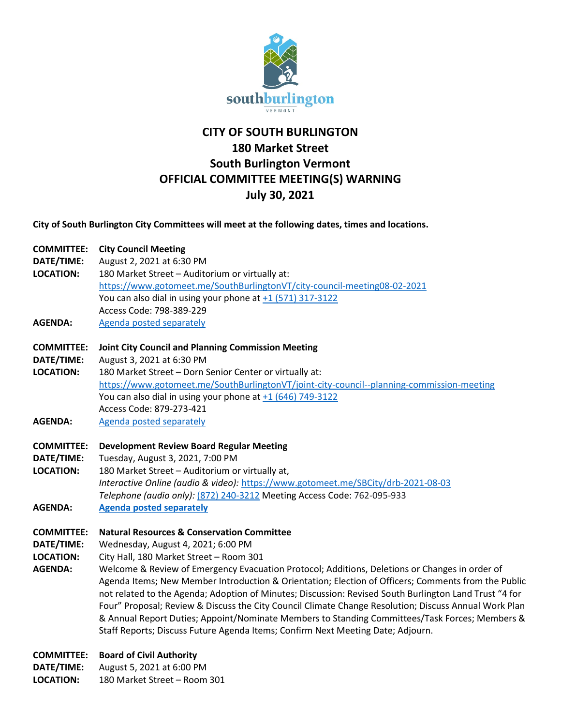

# **CITY OF SOUTH BURLINGTON 180 Market Street South Burlington Vermont OFFICIAL COMMITTEE MEETING(S) WARNING July 30, 2021**

**City of South Burlington City Committees will meet at the following dates, times and locations.** 

# **COMMITTEE: City Council Meeting**

- **DATE/TIME:** August 2, 2021 at 6:30 PM
- **LOCATION:** 180 Market Street Auditorium or virtually at: <https://www.gotomeet.me/SouthBurlingtonVT/city-council-meeting08-02-2021> You can also dial in using your phone at  $+1$  (571) 317-3122 Access Code: 798-389-229
- AGENDA: [Agenda posted separately](https://sbvt-records.info/WebLink/DocView.aspx?id=249540&dbid=0&repo=SBurl)

# **COMMITTEE: Joint City Council and Planning Commission Meeting**

- **DATE/TIME:** August 3, 2021 at 6:30 PM
- **LOCATION:** 180 Market Street Dorn Senior Center or virtually at: <https://www.gotomeet.me/SouthBurlingtonVT/joint-city-council--planning-commission-meeting> You can also dial in using your phone at  $+1$  (646) 749-3122 Access Code: 879-273-421
- AGENDA: [Agenda posted separately](https://sbvt-records.info/WebLink/DocView.aspx?id=249541&dbid=0&repo=SBurl)

### **COMMITTEE: Development Review Board Regular Meeting**

- **DATE/TIME:** Tuesday, August 3, 2021, 7:00 PM
- **LOCATION:** 180 Market Street Auditorium or virtually at, *Interactive Online (audio & video):* <https://www.gotomeet.me/SBCity/drb-2021-08-03> *Telephone (audio only):* [\(872\) 240-3212](tel:+18722403212,,762095933) Meeting Access Code: 762-095-933
- **AGENDA: [Agenda posted separately](https://www.southburlingtonvt.gov/government/city_committees_boards/development_review_board_drb.php)**

### **COMMITTEE: Natural Resources & Conservation Committee**

- **DATE/TIME:** Wednesday, August 4, 2021; 6:00 PM
- **LOCATION:** City Hall, 180 Market Street Room 301
- **AGENDA:** Welcome & Review of Emergency Evacuation Protocol; Additions, Deletions or Changes in order of Agenda Items; New Member Introduction & Orientation; Election of Officers; Comments from the Public not related to the Agenda; Adoption of Minutes; Discussion: Revised South Burlington Land Trust "4 for Four" Proposal; Review & Discuss the City Council Climate Change Resolution; Discuss Annual Work Plan & Annual Report Duties; Appoint/Nominate Members to Standing Committees/Task Forces; Members & Staff Reports; Discuss Future Agenda Items; Confirm Next Meeting Date; Adjourn.
- **COMMITTEE: Board of Civil Authority**
- **DATE/TIME:** August 5, 2021 at 6:00 PM
- **LOCATION:** 180 Market Street Room 301